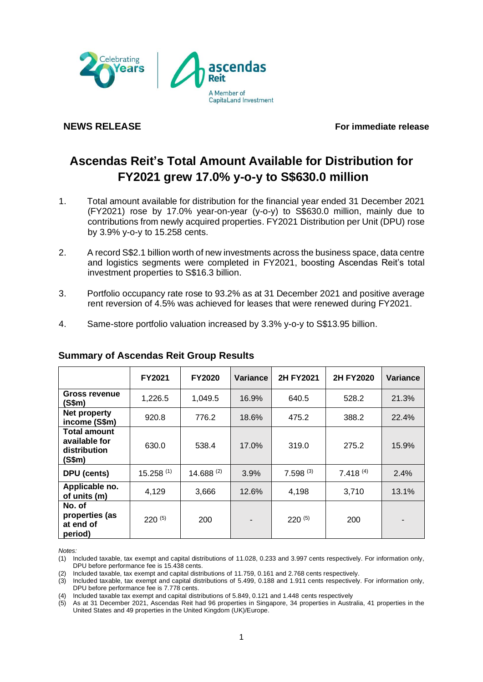

**NEWS RELEASE For immediate release**

# **Ascendas Reit's Total Amount Available for Distribution for FY2021 grew 17.0% y-o-y to S\$630.0 million**

- 1. Total amount available for distribution for the financial year ended 31 December 2021 (FY2021) rose by 17.0% year-on-year (y-o-y) to S\$630.0 million, mainly due to contributions from newly acquired properties. FY2021 Distribution per Unit (DPU) rose by 3.9% y-o-y to 15.258 cents.
- 2. A record S\$2.1 billion worth of new investments across the business space, data centre and logistics segments were completed in FY2021, boosting Ascendas Reit's total investment properties to S\$16.3 billion.
- 3. Portfolio occupancy rate rose to 93.2% as at 31 December 2021 and positive average rent reversion of 4.5% was achieved for leases that were renewed during FY2021.
- 4. Same-store portfolio valuation increased by 3.3% y-o-y to S\$13.95 billion.

|                                                         | <b>FY2021</b> | <b>FY2020</b>  | Variance | 2H FY2021     | 2H FY2020     | Variance |
|---------------------------------------------------------|---------------|----------------|----------|---------------|---------------|----------|
| <b>Gross revenue</b><br>(S\$m)                          | 1,226.5       | 1,049.5        | 16.9%    | 640.5         | 528.2         | 21.3%    |
| Net property<br>income (S\$m)                           | 920.8         | 776.2          | 18.6%    | 475.2         | 388.2         | 22.4%    |
| Total amount<br>available for<br>distribution<br>(S\$m) | 630.0         | 538.4          | 17.0%    | 319.0         | 275.2         | 15.9%    |
| DPU (cents)                                             | $15.258$ (1)  | $14.688^{(2)}$ | 3.9%     | $7.598^{(3)}$ | $7.418^{(4)}$ | 2.4%     |
| Applicable no.<br>of units (m)                          | 4,129         | 3,666          | 12.6%    | 4,198         | 3,710         | 13.1%    |
| No. of<br>properties (as<br>at end of<br>period)        | $220^{(5)}$   | 200            |          | $220^{(5)}$   | 200           |          |

# **Summary of Ascendas Reit Group Results**

*Notes:* 

<sup>(1)</sup> Included taxable, tax exempt and capital distributions of 11.028, 0.233 and 3.997 cents respectively. For information only, DPU before performance fee is 15.438 cents.

<sup>(2)</sup> Included taxable, tax exempt and capital distributions of 11.759, 0.161 and 2.768 cents respectively.

<sup>(3)</sup> Included taxable, tax exempt and capital distributions of 5.499, 0.188 and 1.911 cents respectively. For information only, DPU before performance fee is 7.778 cents.

<sup>(4)</sup> Included taxable tax exempt and capital distributions of 5.849, 0.121 and 1.448 cents respectively

<sup>(5)</sup> As at 31 December 2021, Ascendas Reit had 96 properties in Singapore, 34 properties in Australia, 41 properties in the United States and 49 properties in the United Kingdom (UK)/Europe.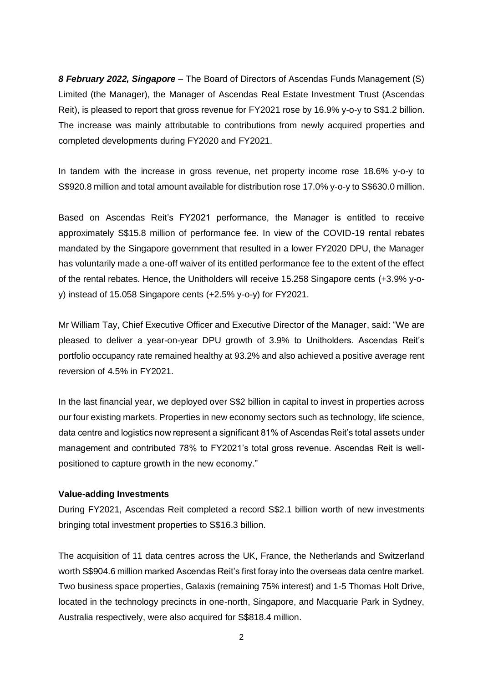*8 February 2022, Singapore* – The Board of Directors of Ascendas Funds Management (S) Limited (the Manager), the Manager of Ascendas Real Estate Investment Trust (Ascendas Reit), is pleased to report that gross revenue for FY2021 rose by 16.9% y-o-y to S\$1.2 billion. The increase was mainly attributable to contributions from newly acquired properties and completed developments during FY2020 and FY2021.

In tandem with the increase in gross revenue, net property income rose 18.6% y-o-y to S\$920.8 million and total amount available for distribution rose 17.0% y-o-y to S\$630.0 million.

Based on Ascendas Reit's FY2021 performance, the Manager is entitled to receive approximately S\$15.8 million of performance fee. In view of the COVID-19 rental rebates mandated by the Singapore government that resulted in a lower FY2020 DPU, the Manager has voluntarily made a one-off waiver of its entitled performance fee to the extent of the effect of the rental rebates. Hence, the Unitholders will receive 15.258 Singapore cents (+3.9% y-oy) instead of 15.058 Singapore cents (+2.5% y-o-y) for FY2021.

Mr William Tay, Chief Executive Officer and Executive Director of the Manager, said: "We are pleased to deliver a year-on-year DPU growth of 3.9% to Unitholders. Ascendas Reit's portfolio occupancy rate remained healthy at 93.2% and also achieved a positive average rent reversion of 4.5% in FY2021.

In the last financial year, we deployed over S\$2 billion in capital to invest in properties across our four existing markets. Properties in new economy sectors such as technology, life science, data centre and logistics now represent a significant 81% of Ascendas Reit's total assets under management and contributed 78% to FY2021's total gross revenue. Ascendas Reit is wellpositioned to capture growth in the new economy."

#### **Value-adding Investments**

During FY2021, Ascendas Reit completed a record S\$2.1 billion worth of new investments bringing total investment properties to S\$16.3 billion.

The acquisition of 11 data centres across the UK, France, the Netherlands and Switzerland worth S\$904.6 million marked Ascendas Reit's first foray into the overseas data centre market. Two business space properties, Galaxis (remaining 75% interest) and 1-5 Thomas Holt Drive, located in the technology precincts in one-north, Singapore, and Macquarie Park in Sydney, Australia respectively, were also acquired for S\$818.4 million.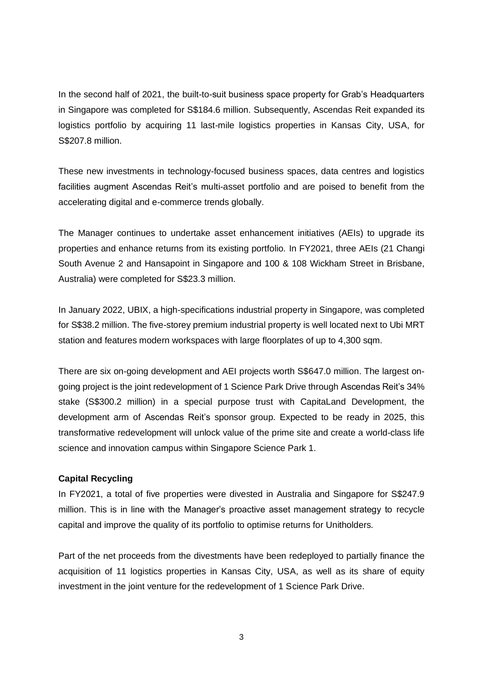In the second half of 2021, the built-to-suit business space property for Grab's Headquarters in Singapore was completed for S\$184.6 million. Subsequently, Ascendas Reit expanded its logistics portfolio by acquiring 11 last-mile logistics properties in Kansas City, USA, for S\$207.8 million.

These new investments in technology-focused business spaces, data centres and logistics facilities augment Ascendas Reit's multi-asset portfolio and are poised to benefit from the accelerating digital and e-commerce trends globally.

The Manager continues to undertake asset enhancement initiatives (AEIs) to upgrade its properties and enhance returns from its existing portfolio. In FY2021, three AEIs (21 Changi South Avenue 2 and Hansapoint in Singapore and 100 & 108 Wickham Street in Brisbane, Australia) were completed for S\$23.3 million.

In January 2022, UBIX, a high-specifications industrial property in Singapore, was completed for S\$38.2 million. The five-storey premium industrial property is well located next to Ubi MRT station and features modern workspaces with large floorplates of up to 4,300 sqm.

There are six on-going development and AEI projects worth S\$647.0 million. The largest ongoing project is the joint redevelopment of 1 Science Park Drive through Ascendas Reit's 34% stake (S\$300.2 million) in a special purpose trust with CapitaLand Development, the development arm of Ascendas Reit's sponsor group. Expected to be ready in 2025, this transformative redevelopment will unlock value of the prime site and create a world-class life science and innovation campus within Singapore Science Park 1.

#### **Capital Recycling**

In FY2021, a total of five properties were divested in Australia and Singapore for S\$247.9 million. This is in line with the Manager's proactive asset management strategy to recycle capital and improve the quality of its portfolio to optimise returns for Unitholders.

Part of the net proceeds from the divestments have been redeployed to partially finance the acquisition of 11 logistics properties in Kansas City, USA, as well as its share of equity investment in the joint venture for the redevelopment of 1 Science Park Drive.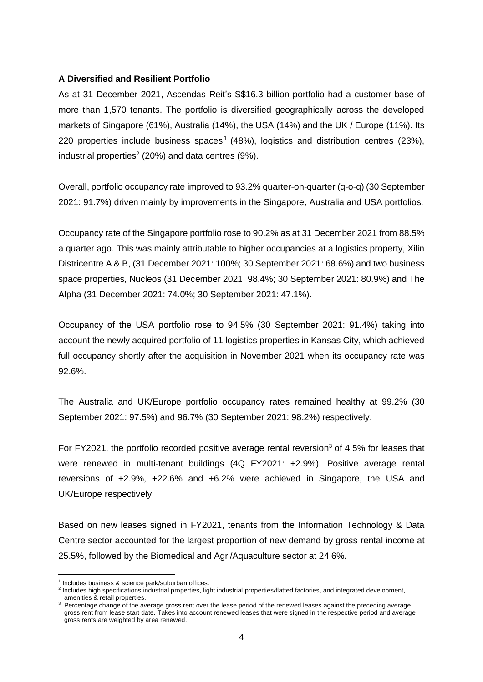#### **A Diversified and Resilient Portfolio**

As at 31 December 2021, Ascendas Reit's S\$16.3 billion portfolio had a customer base of more than 1,570 tenants. The portfolio is diversified geographically across the developed markets of Singapore (61%), Australia (14%), the USA (14%) and the UK / Europe (11%). Its 220 properties include business spaces<sup>1</sup> (48%), logistics and distribution centres (23%), industrial properties<sup>2</sup> (20%) and data centres (9%).

Overall, portfolio occupancy rate improved to 93.2% quarter-on-quarter (q-o-q) (30 September 2021: 91.7%) driven mainly by improvements in the Singapore, Australia and USA portfolios.

Occupancy rate of the Singapore portfolio rose to 90.2% as at 31 December 2021 from 88.5% a quarter ago. This was mainly attributable to higher occupancies at a logistics property, Xilin Districentre A & B, (31 December 2021: 100%; 30 September 2021: 68.6%) and two business space properties, Nucleos (31 December 2021: 98.4%; 30 September 2021: 80.9%) and The Alpha (31 December 2021: 74.0%; 30 September 2021: 47.1%).

Occupancy of the USA portfolio rose to 94.5% (30 September 2021: 91.4%) taking into account the newly acquired portfolio of 11 logistics properties in Kansas City, which achieved full occupancy shortly after the acquisition in November 2021 when its occupancy rate was 92.6%.

The Australia and UK/Europe portfolio occupancy rates remained healthy at 99.2% (30 September 2021: 97.5%) and 96.7% (30 September 2021: 98.2%) respectively.

For FY2021, the portfolio recorded positive average rental reversion<sup>3</sup> of 4.5% for leases that were renewed in multi-tenant buildings (4Q FY2021: +2.9%). Positive average rental reversions of +2.9%, +22.6% and +6.2% were achieved in Singapore, the USA and UK/Europe respectively.

Based on new leases signed in FY2021, tenants from the Information Technology & Data Centre sector accounted for the largest proportion of new demand by gross rental income at 25.5%, followed by the Biomedical and Agri/Aquaculture sector at 24.6%.

<sup>1</sup> Includes business & science park/suburban offices.

<sup>&</sup>lt;sup>2</sup> Includes high specifications industrial properties, light industrial properties/flatted factories, and integrated development, amenities & retail properties.

<sup>&</sup>lt;sup>3</sup> Percentage change of the average gross rent over the lease period of the renewed leases against the preceding average gross rent from lease start date. Takes into account renewed leases that were signed in the respective period and average gross rents are weighted by area renewed.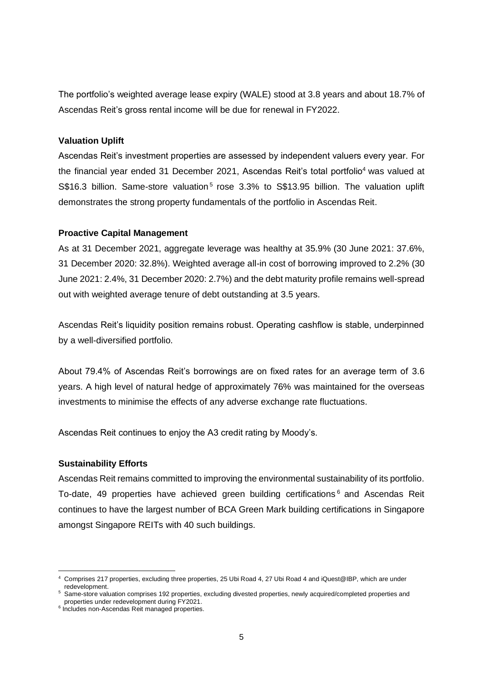The portfolio's weighted average lease expiry (WALE) stood at 3.8 years and about 18.7% of Ascendas Reit's gross rental income will be due for renewal in FY2022.

#### **Valuation Uplift**

Ascendas Reit's investment properties are assessed by independent valuers every year. For the financial year ended 31 December 2021, Ascendas Reit's total portfolio<sup>4</sup> was valued at S\$16.3 billion. Same-store valuation<sup>5</sup> rose 3.3% to S\$13.95 billion. The valuation uplift demonstrates the strong property fundamentals of the portfolio in Ascendas Reit.

#### **Proactive Capital Management**

As at 31 December 2021, aggregate leverage was healthy at 35.9% (30 June 2021: 37.6%, 31 December 2020: 32.8%). Weighted average all-in cost of borrowing improved to 2.2% (30 June 2021: 2.4%, 31 December 2020: 2.7%) and the debt maturity profile remains well-spread out with weighted average tenure of debt outstanding at 3.5 years.

Ascendas Reit's liquidity position remains robust. Operating cashflow is stable, underpinned by a well-diversified portfolio.

About 79.4% of Ascendas Reit's borrowings are on fixed rates for an average term of 3.6 years. A high level of natural hedge of approximately 76% was maintained for the overseas investments to minimise the effects of any adverse exchange rate fluctuations.

Ascendas Reit continues to enjoy the A3 credit rating by Moody's.

## **Sustainability Efforts**

Ascendas Reit remains committed to improving the environmental sustainability of its portfolio. To-date, 49 properties have achieved green building certifications <sup>6</sup> and Ascendas Reit continues to have the largest number of BCA Green Mark building certifications in Singapore amongst Singapore REITs with 40 such buildings.

<sup>4</sup> Comprises 217 properties, excluding three properties, 25 Ubi Road 4, 27 Ubi Road 4 and iQuest@IBP, which are under redevelopment.

<sup>&</sup>lt;sup>5</sup> Same-store valuation comprises 192 properties, excluding divested properties, newly acquired/completed properties and properties under redevelopment during FY2021.

<sup>6</sup> Includes non-Ascendas Reit managed properties.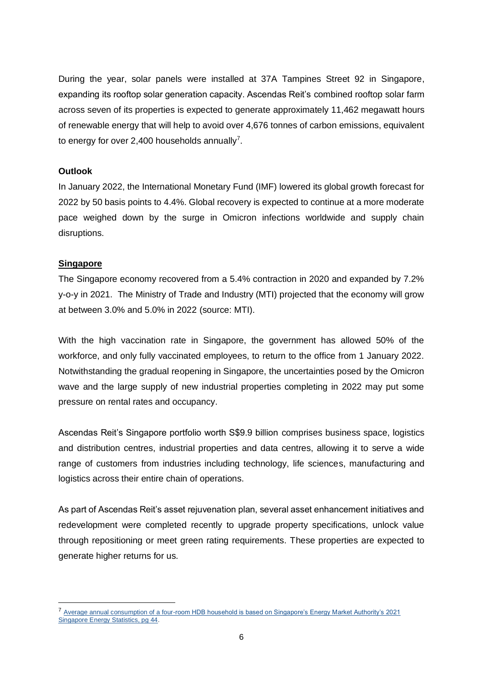During the year, solar panels were installed at 37A Tampines Street 92 in Singapore, expanding its rooftop solar generation capacity. Ascendas Reit's combined rooftop solar farm across seven of its properties is expected to generate approximately 11,462 megawatt hours of renewable energy that will help to avoid over 4,676 tonnes of carbon emissions, equivalent to energy for over 2,400 households annually<sup>7</sup>.

#### **Outlook**

In January 2022, the International Monetary Fund (IMF) lowered its global growth forecast for 2022 by 50 basis points to 4.4%. Global recovery is expected to continue at a more moderate pace weighed down by the surge in Omicron infections worldwide and supply chain disruptions.

## **Singapore**

The Singapore economy recovered from a 5.4% contraction in 2020 and expanded by 7.2% y-o-y in 2021. The Ministry of Trade and Industry (MTI) projected that the economy will grow at between 3.0% and 5.0% in 2022 (source: MTI).

With the high vaccination rate in Singapore, the government has allowed 50% of the workforce, and only fully vaccinated employees, to return to the office from 1 January 2022. Notwithstanding the gradual reopening in Singapore, the uncertainties posed by the Omicron wave and the large supply of new industrial properties completing in 2022 may put some pressure on rental rates and occupancy.

Ascendas Reit's Singapore portfolio worth S\$9.9 billion comprises business space, logistics and distribution centres, industrial properties and data centres, allowing it to serve a wide range of customers from industries including technology, life sciences, manufacturing and logistics across their entire chain of operations.

As part of Ascendas Reit's asset rejuvenation plan, several asset enhancement initiatives and redevelopment were completed recently to upgrade property specifications, unlock value through repositioning or meet green rating requirements. These properties are expected to generate higher returns for us.

<sup>7</sup> [Average annual consumption of a four-room HDB household is based on Singapore's Energy Market Authority's 2021](https://www.ema.gov.sg/cmsmedia/Publications_and_Statistics/Statistics/9RSU.pdf)  [Singapore Energy Statistics, pg 44.](https://www.ema.gov.sg/cmsmedia/Publications_and_Statistics/Statistics/9RSU.pdf)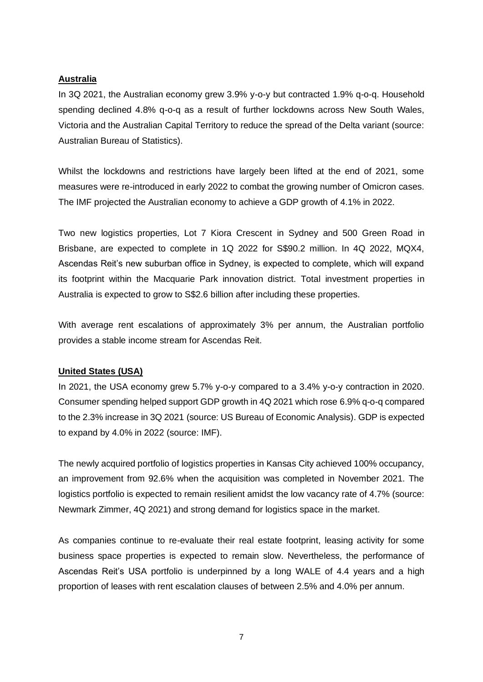#### **Australia**

In 3Q 2021, the Australian economy grew 3.9% y-o-y but contracted 1.9% q-o-q. Household spending declined 4.8% q-o-q as a result of further lockdowns across New South Wales, Victoria and the Australian Capital Territory to reduce the spread of the Delta variant (source: Australian Bureau of Statistics).

Whilst the lockdowns and restrictions have largely been lifted at the end of 2021, some measures were re-introduced in early 2022 to combat the growing number of Omicron cases. The IMF projected the Australian economy to achieve a GDP growth of 4.1% in 2022.

Two new logistics properties, Lot 7 Kiora Crescent in Sydney and 500 Green Road in Brisbane, are expected to complete in 1Q 2022 for S\$90.2 million. In 4Q 2022, MQX4, Ascendas Reit's new suburban office in Sydney, is expected to complete, which will expand its footprint within the Macquarie Park innovation district. Total investment properties in Australia is expected to grow to S\$2.6 billion after including these properties.

With average rent escalations of approximately 3% per annum, the Australian portfolio provides a stable income stream for Ascendas Reit.

#### **United States (USA)**

In 2021, the USA economy grew 5.7% y-o-y compared to a 3.4% y-o-y contraction in 2020. Consumer spending helped support GDP growth in 4Q 2021 which rose 6.9% q-o-q compared to the 2.3% increase in 3Q 2021 (source: US Bureau of Economic Analysis). GDP is expected to expand by 4.0% in 2022 (source: IMF).

The newly acquired portfolio of logistics properties in Kansas City achieved 100% occupancy, an improvement from 92.6% when the acquisition was completed in November 2021. The logistics portfolio is expected to remain resilient amidst the low vacancy rate of 4.7% (source: Newmark Zimmer, 4Q 2021) and strong demand for logistics space in the market.

As companies continue to re-evaluate their real estate footprint, leasing activity for some business space properties is expected to remain slow. Nevertheless, the performance of Ascendas Reit's USA portfolio is underpinned by a long WALE of 4.4 years and a high proportion of leases with rent escalation clauses of between 2.5% and 4.0% per annum.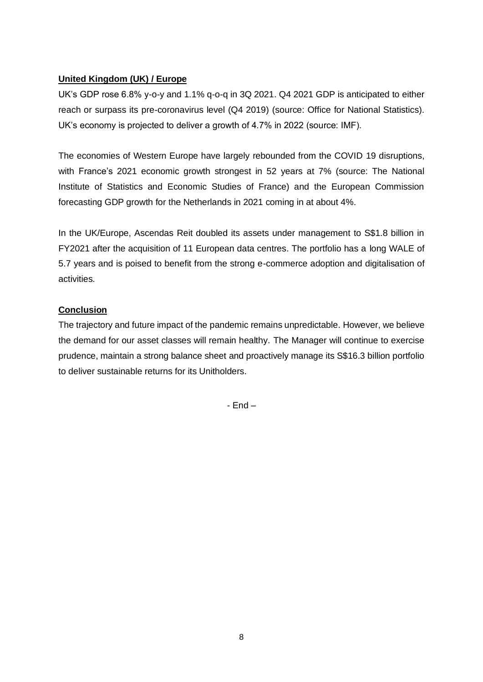# **United Kingdom (UK) / Europe**

UK's GDP rose 6.8% y-o-y and 1.1% q-o-q in 3Q 2021. Q4 2021 GDP is anticipated to either reach or surpass its pre-coronavirus level (Q4 2019) (source: Office for National Statistics). UK's economy is projected to deliver a growth of 4.7% in 2022 (source: IMF).

The economies of Western Europe have largely rebounded from the COVID 19 disruptions, with France's 2021 economic growth strongest in 52 years at 7% (source: The National Institute of Statistics and Economic Studies of France) and the European Commission forecasting GDP growth for the Netherlands in 2021 coming in at about 4%.

In the UK/Europe, Ascendas Reit doubled its assets under management to S\$1.8 billion in FY2021 after the acquisition of 11 European data centres. The portfolio has a long WALE of 5.7 years and is poised to benefit from the strong e-commerce adoption and digitalisation of activities.

# **Conclusion**

The trajectory and future impact of the pandemic remains unpredictable. However, we believe the demand for our asset classes will remain healthy. The Manager will continue to exercise prudence, maintain a strong balance sheet and proactively manage its S\$16.3 billion portfolio to deliver sustainable returns for its Unitholders.

- End –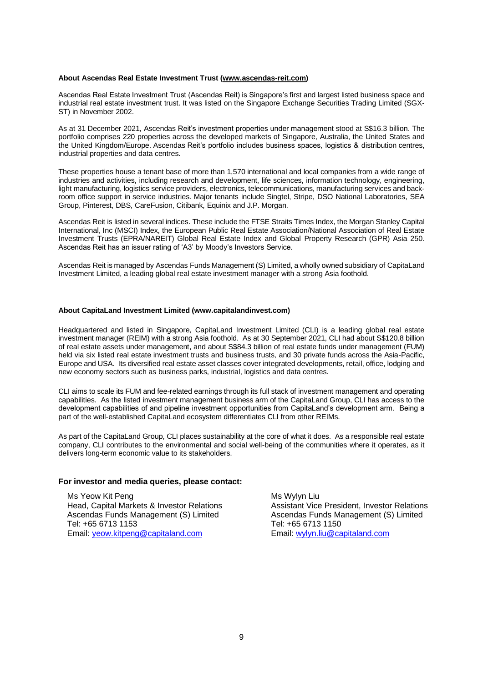#### **About Ascendas Real Estate Investment Trust [\(www.ascendas-reit.com\)](file://///Ascnas02/streits01/06_InvestorRelation/02_Public/Results%20announcement_WIP/Qtr%20ended%2030%20Jun%202019/www.ascendas-reit.com)**

Ascendas Real Estate Investment Trust (Ascendas Reit) is Singapore's first and largest listed business space and industrial real estate investment trust. It was listed on the Singapore Exchange Securities Trading Limited (SGX-ST) in November 2002.

As at 31 December 2021, Ascendas Reit's investment properties under management stood at S\$16.3 billion. The portfolio comprises 220 properties across the developed markets of Singapore, Australia, the United States and the United Kingdom/Europe. Ascendas Reit's portfolio includes business spaces, logistics & distribution centres, industrial properties and data centres.

These properties house a tenant base of more than 1,570 international and local companies from a wide range of industries and activities, including research and development, life sciences, information technology, engineering, light manufacturing, logistics service providers, electronics, telecommunications, manufacturing services and backroom office support in service industries. Major tenants include Singtel, Stripe, DSO National Laboratories, SEA Group, Pinterest, DBS, CareFusion, Citibank, Equinix and J.P. Morgan.

Ascendas Reit is listed in several indices. These include the FTSE Straits Times Index, the Morgan Stanley Capital International, Inc (MSCI) Index, the European Public Real Estate Association/National Association of Real Estate Investment Trusts (EPRA/NAREIT) Global Real Estate Index and Global Property Research (GPR) Asia 250. Ascendas Reit has an issuer rating of 'A3' by Moody's Investors Service.

Ascendas Reit is managed by Ascendas Funds Management (S) Limited, a wholly owned subsidiary of CapitaLand Investment Limited, a leading global real estate investment manager with a strong Asia foothold.

#### **About CapitaLand Investment Limited (www.capitalandinvest.com)**

Headquartered and listed in Singapore, CapitaLand Investment Limited (CLI) is a leading global real estate investment manager (REIM) with a strong Asia foothold. As at 30 September 2021, CLI had about S\$120.8 billion of real estate assets under management, and about S\$84.3 billion of real estate funds under management (FUM) held via six listed real estate investment trusts and business trusts, and 30 private funds across the Asia-Pacific, Europe and USA. Its diversified real estate asset classes cover integrated developments, retail, office, lodging and new economy sectors such as business parks, industrial, logistics and data centres.

CLI aims to scale its FUM and fee-related earnings through its full stack of investment management and operating capabilities. As the listed investment management business arm of the CapitaLand Group, CLI has access to the development capabilities of and pipeline investment opportunities from CapitaLand's development arm. Being a part of the well-established CapitaLand ecosystem differentiates CLI from other REIMs.

As part of the CapitaLand Group, CLI places sustainability at the core of what it does. As a responsible real estate company, CLI contributes to the environmental and social well-being of the communities where it operates, as it delivers long-term economic value to its stakeholders.

#### **For investor and media queries, please contact:**

Ms Yeow Kit Peng Head, Capital Markets & Investor Relations Ascendas Funds Management (S) Limited Tel: +65 6713 1153 Email: [yeow.kitpeng@capitaland.com](mailto:yeow.kitpeng@capitaland.com)

Ms Wylyn Liu Assistant Vice President, Investor Relations Ascendas Funds Management (S) Limited Tel: +65 6713 1150 Email: [wylyn.liu@capitaland.com](mailto:wylyn.liu@capitaland.com)